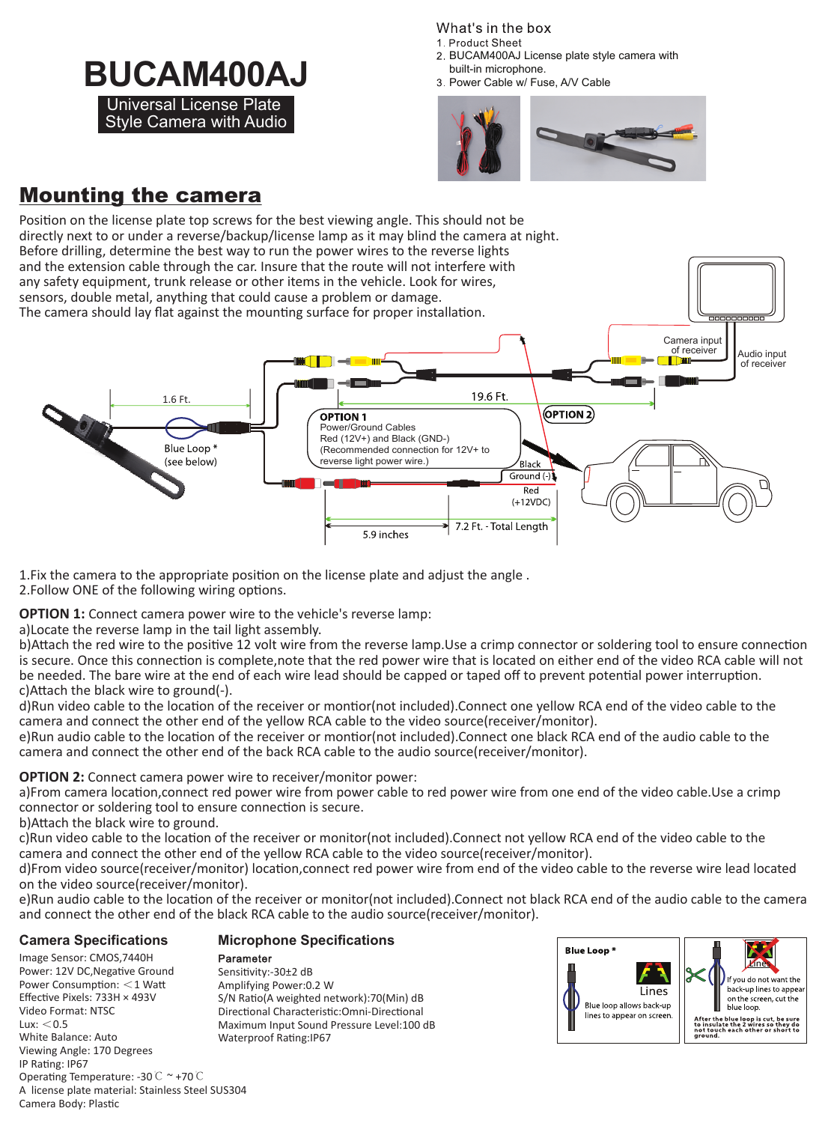# **BUCAM400AJ BUCAM400AJ BUCAM400AJ BUCAM400AJ BUCAM400AJ Bully provect Cable W/ Fuse, A/V** Cable Universal License Plate

Style Camera with Audio

What's in the box 1 Product Sheet

built-in microphone.

3 Power Cable w/ Fuse, A/V Cable



# Mounting the camera



1.Fix the camera to the appropriate position on the license plate and adjust the angle .

2.Follow ONE of the following wiring options.

**OPTION 1:** Connect camera power wire to the vehicle's reverse lamp:

a)Locate the reverse lamp in the tail light assembly.

b)Attach the red wire to the positive 12 volt wire from the reverse lamp.Use a crimp connector or soldering tool to ensure connection is secure. Once this connection is complete,note that the red power wire that is located on either end of the video RCA cable will not be needed. The bare wire at the end of each wire lead should be capped or taped off to prevent potential power interruption. c)Attach the black wire to ground(-).

d)Run video cable to the location of the receiver or montior(not included).Connect one yellow RCA end of the video cable to the camera and connect the other end of the yellow RCA cable to the video source(receiver/monitor).

e)Run audio cable to the location of the receiver or montior(not included).Connect one black RCA end of the audio cable to the camera and connect the other end of the back RCA cable to the audio source(receiver/monitor).

#### **OPTION 2:** Connect camera power wire to receiver/monitor power:

a)From camera location,connect red power wire from power cable to red power wire from one end of the video cable.Use a crimp connector or soldering tool to ensure connection is secure.

b)Attach the black wire to ground.

c)Run video cable to the location of the receiver or monitor(not included).Connect not yellow RCA end of the video cable to the camera and connect the other end of the yellow RCA cable to the video source(receiver/monitor).

d)From video source(receiver/monitor) location,connect red power wire from end of the video cable to the reverse wire lead located on the video source(receiver/monitor).

e)Run audio cable to the location of the receiver or monitor(not included).Connect not black RCA end of the audio cable to the camera and connect the other end of the black RCA cable to the audio source(receiver/monitor).

### **Camera Specifications**

#### Image Sensor: CMOS,7440H Power: 12V DC, Negative Ground Power Consumption: <1 Watt Effective Pixels: 733H × 493V Video Format: NTSC  $Lux: < 0.5$ White Balance: Auto Viewing Angle: 170 Degrees IP Rating: IP67 Operating Temperature: -30℃ ~ +70℃ A license plate material: Stainless Steel SUS304 Camera Body: Plastic Waterproof Rating:IP67

Parameter Sensitivity:-30±2 dB Amplifying Power:0.2 W S/N Ratio(A weighted network):70(Min) dB Directional Characteristic:Omni-Directional Maximum Input Sound Pressure Level:100 dB

**Microphone Specifications**